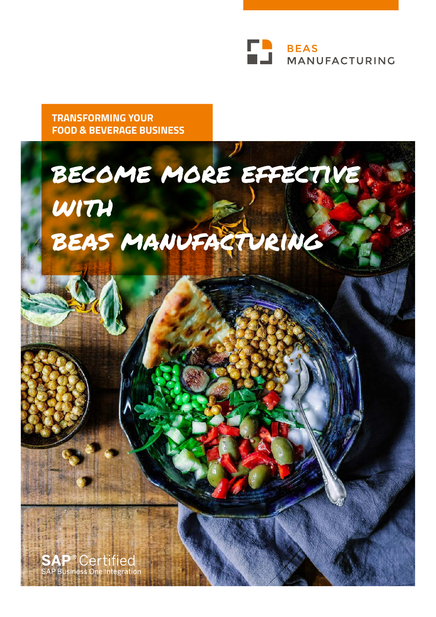

**TRANSFORMING YOUR FOOD & BEVERAGE BUSINESS**

# become more effective with beas manufacturing

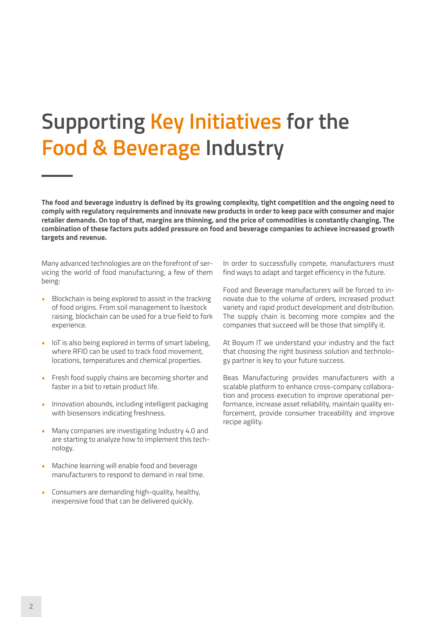# **Supporting Key Initiatives for the Food & Beverage Industry**

**The food and beverage industry is defined by its growing complexity, tight competition and the ongoing need to comply with regulatory requirements and innovate new products in order to keep pace with consumer and major retailer demands. On top of that, margins are thinning, and the price of commodities is constantly changing. The combination of these factors puts added pressure on food and beverage companies to achieve increased growth targets and revenue.** 

Many advanced technologies are on the forefront of servicing the world of food manufacturing, a few of them being:

- Blockchain is being explored to assist in the tracking of food origins. From soil management to livestock raising, blockchain can be used for a true field to fork experience.
- IoT is also being explored in terms of smart labeling, where RFID can be used to track food movement, locations, temperatures and chemical properties.
- Fresh food supply chains are becoming shorter and faster in a bid to retain product life.
- Innovation abounds, including intelligent packaging with biosensors indicating freshness.
- Many companies are investigating Industry 4.0 and are starting to analyze how to implement this technology.
- Machine learning will enable food and beverage manufacturers to respond to demand in real time.
- Consumers are demanding high-quality, healthy, inexpensive food that can be delivered quickly.

In order to successfully compete, manufacturers must find ways to adapt and target efficiency in the future.

Food and Beverage manufacturers will be forced to innovate due to the volume of orders, increased product variety and rapid product development and distribution. The supply chain is becoming more complex and the companies that succeed will be those that simplify it.

At Boyum IT we understand your industry and the fact that choosing the right business solution and technology partner is key to your future success.

Beas Manufacturing provides manufacturers with a scalable platform to enhance cross-company collaboration and process execution to improve operational performance, increase asset reliability, maintain quality enforcement, provide consumer traceability and improve recipe agility.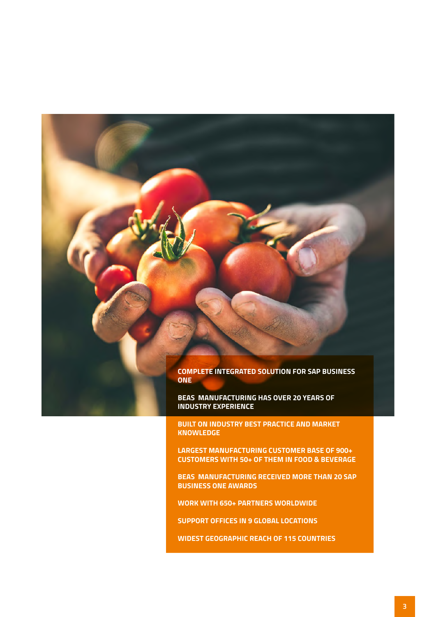

**BUILT ON INDUSTRY BEST PRACTICE AND MARKET KNOWLEDGE**

**LARGEST MANUFACTURING CUSTOMER BASE OF 900+ CUSTOMERS WITH 50+ OF THEM IN FOOD & BEVERAGE** 

**BEAS MANUFACTURING RECEIVED MORE THAN 20 SAP BUSINESS ONE AWARDS**

**WORK WITH 650+ PARTNERS WORLDWIDE** 

**SUPPORT OFFICES IN 9 GLOBAL LOCATIONS**

**WIDEST GEOGRAPHIC REACH OF 115 COUNTRIES**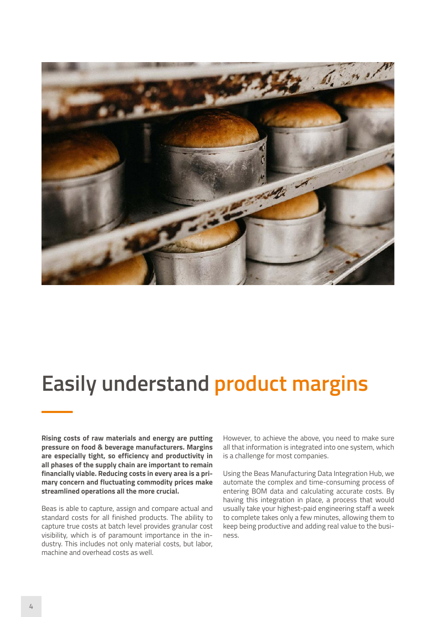

#### **Easily understand product margins**

**Rising costs of raw materials and energy are putting pressure on food & beverage manufacturers. Margins are especially tight, so efficiency and productivity in all phases of the supply chain are important to remain financially viable. Reducing costs in every area is a primary concern and fluctuating commodity prices make streamlined operations all the more crucial.** 

Beas is able to capture, assign and compare actual and standard costs for all finished products. The ability to capture true costs at batch level provides granular cost visibility, which is of paramount importance in the industry. This includes not only material costs, but labor, machine and overhead costs as well.

However, to achieve the above, you need to make sure all that information is integrated into one system, which is a challenge for most companies.

Using the Beas Manufacturing Data Integration Hub, we automate the complex and time-consuming process of entering BOM data and calculating accurate costs. By having this integration in place, a process that would usually take your highest-paid engineering staff a week to complete takes only a few minutes, allowing them to keep being productive and adding real value to the business.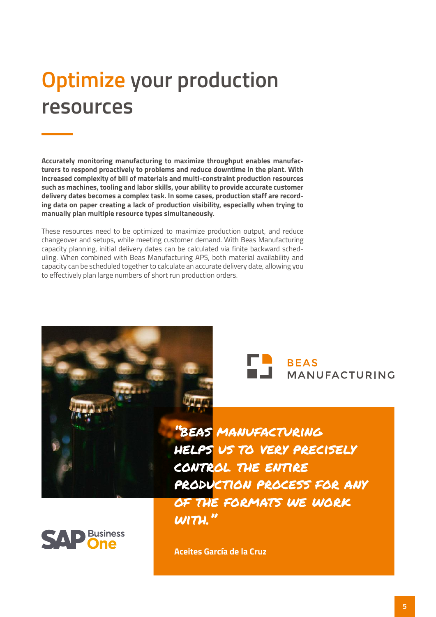# **Optimize your production resources**

**Accurately monitoring manufacturing to maximize throughput enables manufacturers to respond proactively to problems and reduce downtime in the plant. With increased complexity of bill of materials and multi-constraint production resources such as machines, tooling and labor skills, your ability to provide accurate customer delivery dates becomes a complex task. In some cases, production staff are recording data on paper creating a lack of production visibility, especially when trying to manually plan multiple resource types simultaneously.**

These resources need to be optimized to maximize production output, and reduce changeover and setups, while meeting customer demand. With Beas Manufacturing capacity planning, initial delivery dates can be calculated via finite backward scheduling. When combined with Beas Manufacturing APS, both material availability and capacity can be scheduled together to calculate an accurate delivery date, allowing you to effectively plan large numbers of short run production orders.





"beas manufacturing helps us to very precisely control the entire production process for any of the formats we work  $w\mathsf{m}$ ."



**Aceites García de la Cruz**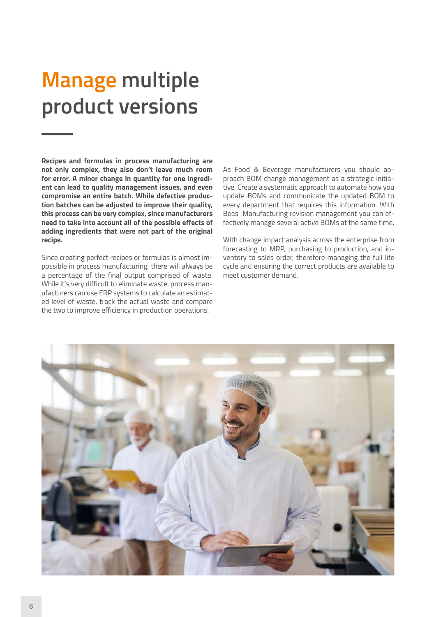# **Manage multiple product versions**

**Recipes and formulas in process manufacturing are not only complex, they also don't leave much room for error. A minor change in quantity for one ingredient can lead to quality management issues, and even compromise an entire batch. While defective production batches can be adjusted to improve their quality, this process can be very complex, since manufacturers need to take into account all of the possible effects of adding ingredients that were not part of the original recipe.**

Since creating perfect recipes or formulas is almost impossible in process manufacturing, there will always be a percentage of the final output comprised of waste. While it's very difficult to eliminate waste, process manufacturers can use ERP systems to calculate an estimated level of waste, track the actual waste and compare the two to improve efficiency in production operations.

As Food & Beverage manufacturers you should approach BOM change management as a strategic initiative. Create a systematic approach to automate how you update BOMs and communicate the updated BOM to every department that requires this information. With Beas Manufacturing revision management you can effectively manage several active BOMs at the same time.

With change impact analysis across the enterprise from forecasting to MRP, purchasing to production, and inventory to sales order, therefore managing the full life cycle and ensuring the correct products are available to meet customer demand.

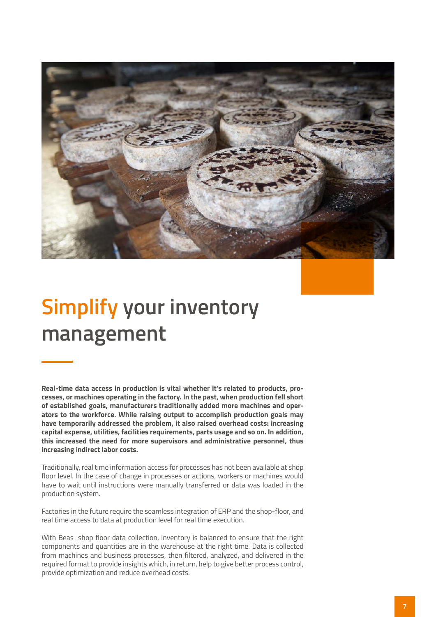

### **Simplify your inventory management**

**Real-time data access in production is vital whether it's related to products, processes, or machines operating in the factory. In the past, when production fell short of established goals, manufacturers traditionally added more machines and operators to the workforce. While raising output to accomplish production goals may have temporarily addressed the problem, it also raised overhead costs: increasing capital expense, utilities, facilities requirements, parts usage and so on. In addition, this increased the need for more supervisors and administrative personnel, thus increasing indirect labor costs.**

Traditionally, real time information access for processes has not been available at shop floor level. In the case of change in processes or actions, workers or machines would have to wait until instructions were manually transferred or data was loaded in the production system.

Factories in the future require the seamless integration of ERP and the shop-floor, and real time access to data at production level for real time execution.

With Beas shop floor data collection, inventory is balanced to ensure that the right components and quantities are in the warehouse at the right time. Data is collected from machines and business processes, then filtered, analyzed, and delivered in the required format to provide insights which, in return, help to give better process control, provide optimization and reduce overhead costs.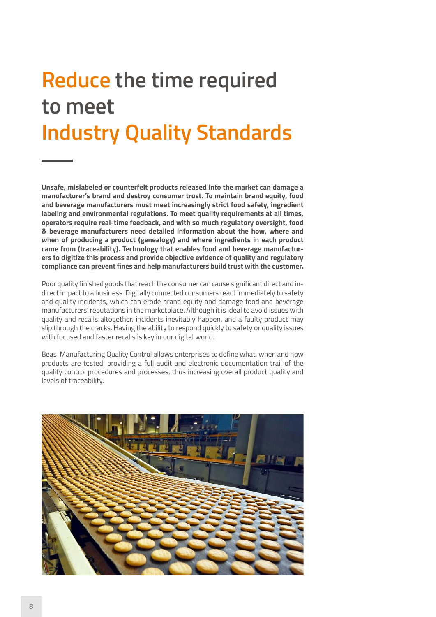# **Reduce the time required to meet Industry Quality Standards**

**Unsafe, mislabeled or counterfeit products released into the market can damage a manufacturer's brand and destroy consumer trust. To maintain brand equity, food and beverage manufacturers must meet increasingly strict food safety, ingredient labeling and environmental regulations. To meet quality requirements at all times, operators require real-time feedback, and with so much regulatory oversight, food & beverage manufacturers need detailed information about the how, where and when of producing a product (genealogy) and where ingredients in each product came from (traceability). Technology that enables food and beverage manufacturers to digitize this process and provide objective evidence of quality and regulatory compliance can prevent fines and help manufacturers build trust with the customer.** 

Poor quality finished goods that reach the consumer can cause significant direct and indirect impact to a business. Digitally connected consumers react immediately to safety and quality incidents, which can erode brand equity and damage food and beverage manufacturers' reputations in the marketplace. Although it is ideal to avoid issues with quality and recalls altogether, incidents inevitably happen, and a faulty product may slip through the cracks. Having the ability to respond quickly to safety or quality issues with focused and faster recalls is key in our digital world.

Beas Manufacturing Quality Control allows enterprises to define what, when and how products are tested, providing a full audit and electronic documentation trail of the quality control procedures and processes, thus increasing overall product quality and levels of traceability.

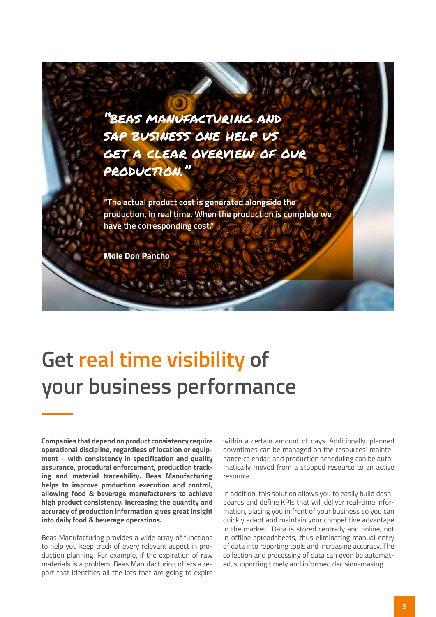"beas manufacturing and sap business one help us get a clear overview of our production."

**"The actual product cost is generated alongside the production, in real time. When the production is complete we have the corresponding cost."**

**Mole Don Pancho**

#### **Get real time visibility of your business performance**

**Companies that depend on product consistency require operational discipline, regardless of location or equipment – with consistency in specification and quality assurance, procedural enforcement, production tracking and material traceability. Beas Manufacturing helps to improve production execution and control, allowing food & beverage manufacturers to achieve high product consistency. Increasing the quantity and accuracy of production information gives great insight into daily food & beverage operations.**

Beas Manufacturing provides a wide array of functions to help you keep track of every relevant aspect in production planning. For example, if the expiration of raw materials is a problem, Beas Manufacturing offers a report that identifies all the lots that are going to expire

within a certain amount of days. Additionally, planned downtimes can be managed on the resources' maintenance calendar, and production scheduling can be automatically moved from a stopped resource to an active resource.

In addition, this solution allows you to easily build dashboards and define KPIs that will deliver real-time information, placing you in front of your business so you can quickly adapt and maintain your competitive advantage in the market. Data is stored centrally and online, not in offline spreadsheets, thus eliminating manual entry of data into reporting tools and increasing accuracy. The collection and processing of data can even be automated, supporting timely and informed decision-making.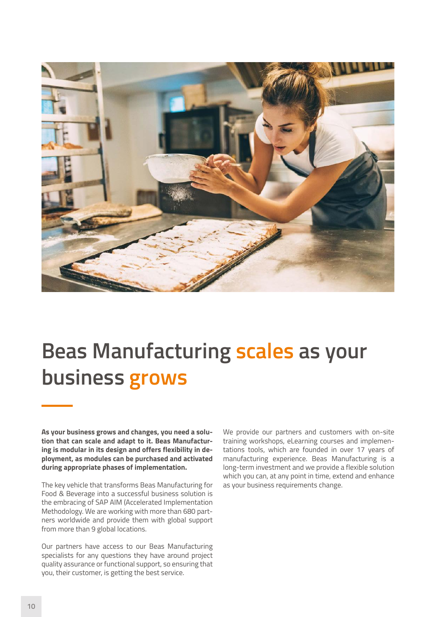

#### **Beas Manufacturing scales as your business grows**

**As your business grows and changes, you need a solution that can scale and adapt to it. Beas Manufacturing is modular in its design and offers flexibility in deployment, as modules can be purchased and activated during appropriate phases of implementation.**

The key vehicle that transforms Beas Manufacturing for Food & Beverage into a successful business solution is the embracing of SAP AIM (Accelerated Implementation Methodology. We are working with more than 680 partners worldwide and provide them with global support from more than 9 global locations.

Our partners have access to our Beas Manufacturing specialists for any questions they have around project quality assurance or functional support, so ensuring that you, their customer, is getting the best service.

We provide our partners and customers with on-site training workshops, eLearning courses and implementations tools, which are founded in over 17 years of manufacturing experience. Beas Manufacturing is a long-term investment and we provide a flexible solution which you can, at any point in time, extend and enhance as your business requirements change.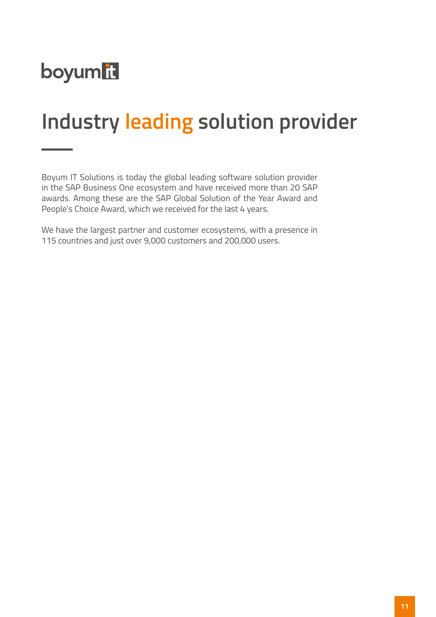

#### **Industry leading solution provider**

Boyum IT Solutions is today the global leading software solution provider in the SAP Business One ecosystem and have received more than 20 SAP awards. Among these are the SAP Global Solution of the Year Award and People's Choice Award, which we received for the last 4 years.

We have the largest partner and customer ecosystems, with a presence in 115 countries and just over 9,000 customers and 200,000 users.